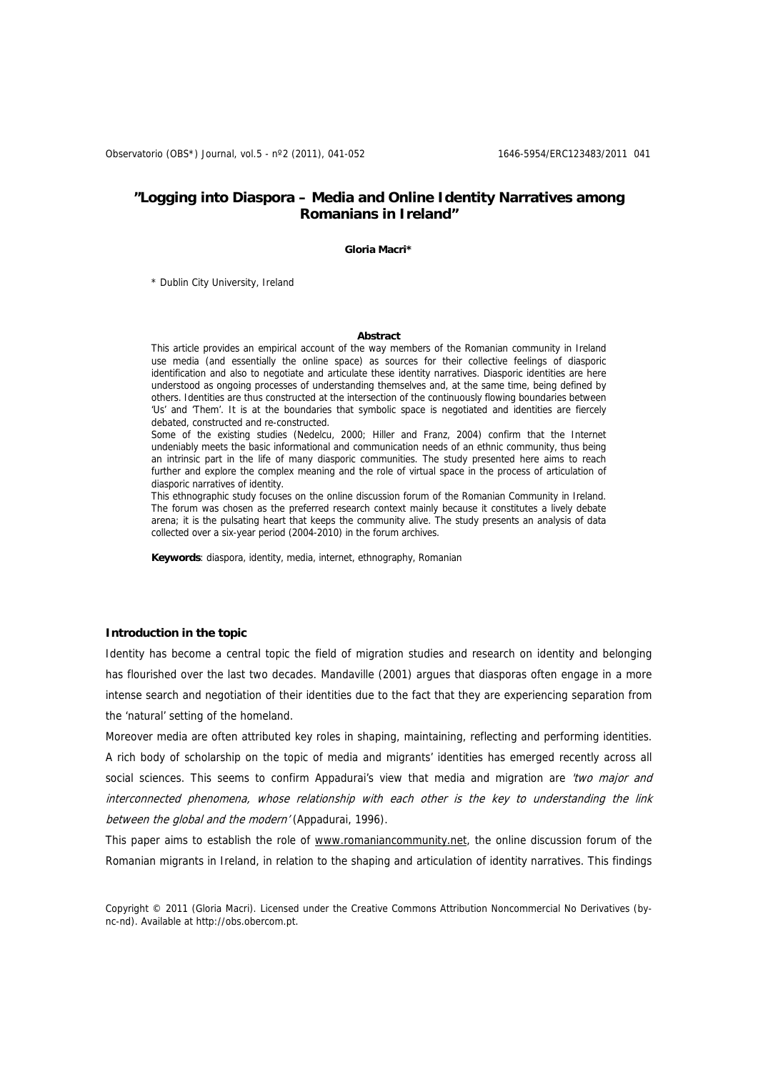# **"Logging into Diaspora – Media and Online Identity Narratives among Romanians in Ireland"**

#### **Gloria Macri\***

\* Dublin City University, Ireland

#### **Abstract**

This article provides an empirical account of the way members of the Romanian community in Ireland use media (and essentially the online space) as sources for their collective feelings of diasporic identification and also to negotiate and articulate these identity narratives. Diasporic identities are here understood as ongoing processes of understanding themselves and, at the same time, being defined by others. Identities are thus constructed at the intersection of the continuously flowing boundaries between 'Us' and 'Them'. It is at the boundaries that symbolic space is negotiated and identities are fiercely debated, constructed and re-constructed.

Some of the existing studies (Nedelcu, 2000; Hiller and Franz, 2004) confirm that the Internet undeniably meets the basic informational and communication needs of an ethnic community, thus being an intrinsic part in the life of many diasporic communities. The study presented here aims to reach further and explore the complex meaning and the role of virtual space in the process of articulation of diasporic narratives of identity.

This ethnographic study focuses on the online discussion forum of the Romanian Community in Ireland. The forum was chosen as the preferred research context mainly because it constitutes a lively debate arena; it is the pulsating heart that keeps the community alive. The study presents an analysis of data collected over a six-year period (2004-2010) in the forum archives.

**Keywords**: diaspora, identity, media, internet, ethnography, Romanian

# **Introduction in the topic**

Identity has become a central topic the field of migration studies and research on identity and belonging has flourished over the last two decades. Mandaville (2001) argues that diasporas often engage in a more intense search and negotiation of their identities due to the fact that they are experiencing separation from the 'natural' setting of the homeland.

Moreover media are often attributed key roles in shaping, maintaining, reflecting and performing identities. A rich body of scholarship on the topic of media and migrants' identities has emerged recently across all social sciences. This seems to confirm Appadurai's view that media and migration are 'two major and interconnected phenomena, whose relationship with each other is the key to understanding the link between the global and the modern' (Appadurai, 1996).

This paper aims to establish the role of [www.romaniancommunity.net,](http://www.romaniancommunity.net/) the online discussion forum of the Romanian migrants in Ireland, in relation to the shaping and articulation of identity narratives. This findings

Copyright © 2011 (Gloria Macri). Licensed under the Creative Commons Attribution Noncommercial No Derivatives (bync-nd). Available at http://obs.obercom.pt.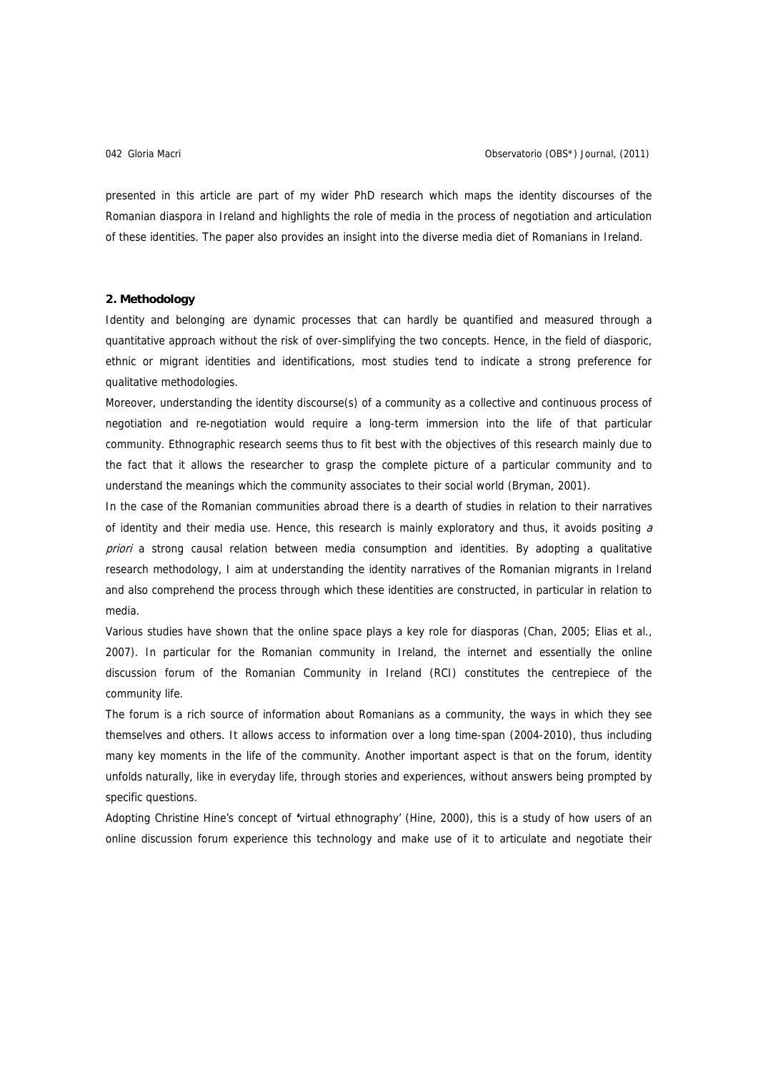presented in this article are part of my wider PhD research which maps the identity discourses of the Romanian diaspora in Ireland and highlights the role of media in the process of negotiation and articulation of these identities. The paper also provides an insight into the diverse media diet of Romanians in Ireland.

#### **2. Methodology**

Identity and belonging are dynamic processes that can hardly be quantified and measured through a quantitative approach without the risk of over-simplifying the two concepts. Hence, in the field of diasporic, ethnic or migrant identities and identifications, most studies tend to indicate a strong preference for qualitative methodologies.

Moreover, understanding the identity discourse(s) of a community as a collective and continuous process of negotiation and re-negotiation would require a long-term immersion into the life of that particular community. Ethnographic research seems thus to fit best with the objectives of this research mainly due to the fact that it allows the researcher to grasp the complete picture of a particular community and to understand the meanings which the community associates to their social world (Bryman, 2001).

In the case of the Romanian communities abroad there is a dearth of studies in relation to their narratives of identity and their media use. Hence, this research is mainly exploratory and thus, it avoids positing a priori a strong causal relation between media consumption and identities. By adopting a qualitative research methodology, I aim at understanding the identity narratives of the Romanian migrants in Ireland and also comprehend the process through which these identities are constructed, in particular in relation to media.

Various studies have shown that the online space plays a key role for diasporas (Chan, 2005; Elias et al., 2007). In particular for the Romanian community in Ireland, the internet and essentially the online discussion forum of the Romanian Community in Ireland (RCI) constitutes the centrepiece of the community life.

The forum is a rich source of information about Romanians as a community, the ways in which they see themselves and others. It allows access to information over a long time-span (2004-2010), thus including many key moments in the life of the community. Another important aspect is that on the forum, identity unfolds naturally, like in everyday life, through stories and experiences, without answers being prompted by specific questions.

Adopting Christine Hine's concept of **'**virtual ethnography' (Hine, 2000), this is a study of how users of an online discussion forum experience this technology and make use of it to articulate and negotiate their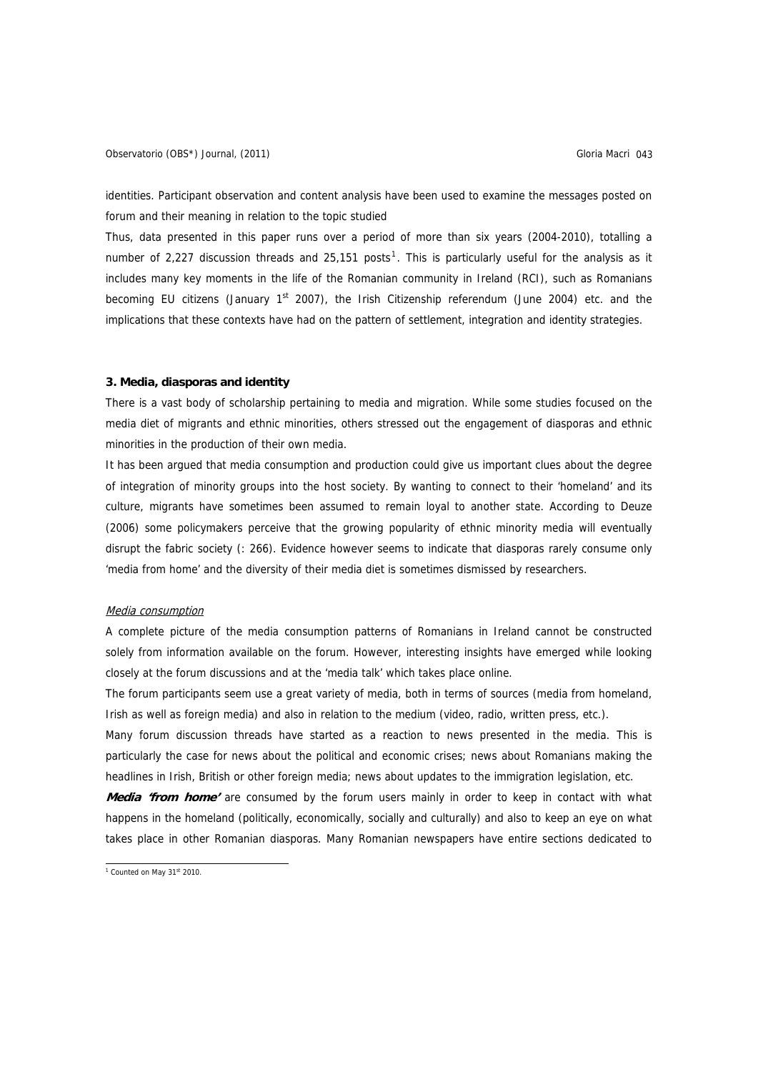identities. Participant observation and content analysis have been used to examine the messages posted on forum and their meaning in relation to the topic studied

Thus, data presented in this paper runs over a period of more than six years (2004-2010), totalling a number of 2,227 discussion threads and 25,[1](#page-2-0)51 posts<sup>1</sup>. This is particularly useful for the analysis as it includes many key moments in the life of the Romanian community in Ireland (RCI), such as Romanians becoming EU citizens (January 1<sup>st</sup> 2007), the Irish Citizenship referendum (June 2004) etc. and the implications that these contexts have had on the pattern of settlement, integration and identity strategies.

# **3. Media, diasporas and identity**

There is a vast body of scholarship pertaining to media and migration. While some studies focused on the media diet of migrants and ethnic minorities, others stressed out the engagement of diasporas and ethnic minorities in the production of their own media.

It has been argued that media consumption and production could give us important clues about the degree of integration of minority groups into the host society. By wanting to connect to their 'homeland' and its culture, migrants have sometimes been assumed to remain loyal to another state. According to Deuze (2006) some policymakers perceive that the growing popularity of ethnic minority media will eventually disrupt the fabric society (: 266). Evidence however seems to indicate that diasporas rarely consume only 'media from home' and the diversity of their media diet is sometimes dismissed by researchers.

## Media consumption

A complete picture of the media consumption patterns of Romanians in Ireland cannot be constructed solely from information available on the forum. However, interesting insights have emerged while looking closely at the forum discussions and at the 'media talk' which takes place online.

The forum participants seem use a great variety of media, both in terms of sources (media from homeland, Irish as well as foreign media) and also in relation to the medium (video, radio, written press, etc.).

Many forum discussion threads have started as a reaction to news presented in the media. This is particularly the case for news about the political and economic crises; news about Romanians making the headlines in Irish, British or other foreign media; news about updates to the immigration legislation, etc.

**Media 'from home'** are consumed by the forum users mainly in order to keep in contact with what happens in the homeland (politically, economically, socially and culturally) and also to keep an eye on what takes place in other Romanian diasporas. Many Romanian newspapers have entire sections dedicated to

<span id="page-2-0"></span> $1$  Counted on May 31st 2010.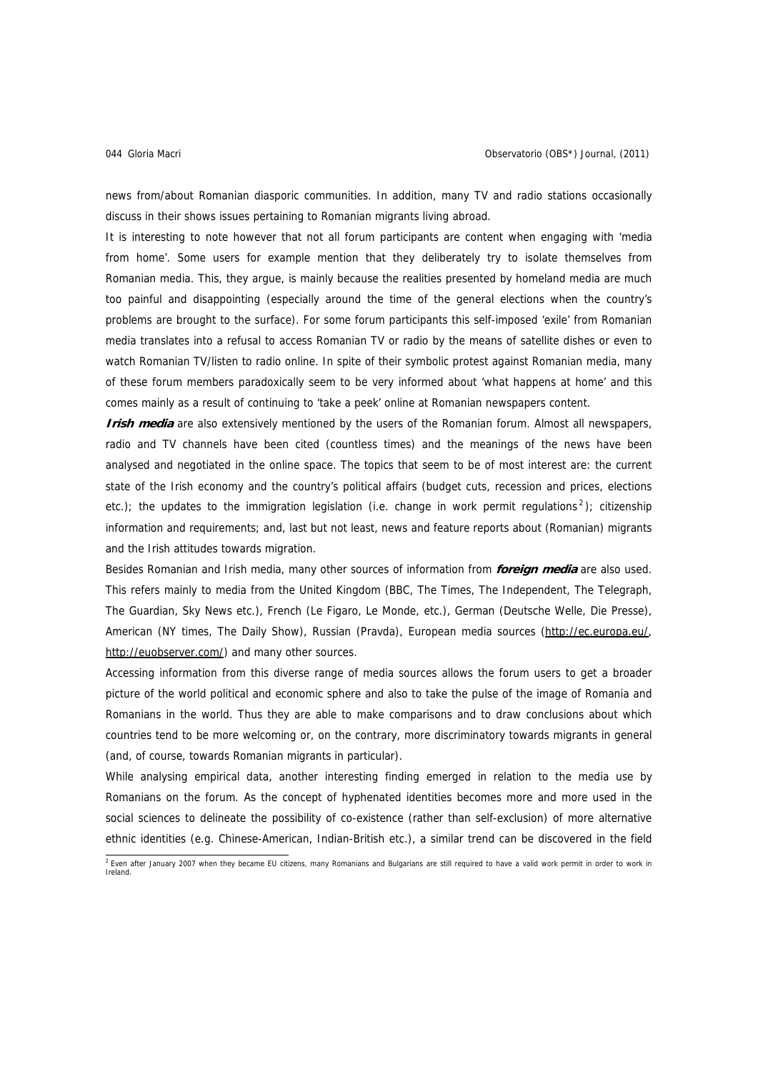news from/about Romanian diasporic communities. In addition, many TV and radio stations occasionally discuss in their shows issues pertaining to Romanian migrants living abroad.

It is interesting to note however that not all forum participants are content when engaging with 'media from home'. Some users for example mention that they deliberately try to isolate themselves from Romanian media. This, they argue, is mainly because the realities presented by homeland media are much too painful and disappointing (especially around the time of the general elections when the country's problems are brought to the surface). For some forum participants this self-imposed 'exile' from Romanian media translates into a refusal to access Romanian TV or radio by the means of satellite dishes or even to watch Romanian TV/listen to radio online. In spite of their symbolic protest against Romanian media, many of these forum members paradoxically seem to be very informed about 'what happens at home' and this comes mainly as a result of continuing to 'take a peek' online at Romanian newspapers content.

**Irish media** are also extensively mentioned by the users of the Romanian forum. Almost all newspapers, radio and TV channels have been cited (countless times) and the meanings of the news have been analysed and negotiated in the online space. The topics that seem to be of most interest are: the current state of the Irish economy and the country's political affairs (budget cuts, recession and prices, elections etc.); the updates to the immigration legislation (i.e. change in work permit regulations<sup>[2](#page-3-0)</sup>); citizenship information and requirements; and, last but not least, news and feature reports about (Romanian) migrants and the Irish attitudes towards migration.

Besides Romanian and Irish media, many other sources of information from **foreign media** are also used. This refers mainly to media from the United Kingdom (BBC, The Times, The Independent, The Telegraph, The Guardian, Sky News etc.), French (Le Figaro, Le Monde, etc.), German (Deutsche Welle, Die Presse), American (NY times, The Daily Show), Russian (Pravda), European media sources [\(http://ec.europa.eu/,](http://ec.europa.eu/) [http://euobserver.com/\)](http://euobserver.com/) and many other sources.

Accessing information from this diverse range of media sources allows the forum users to get a broader picture of the world political and economic sphere and also to take the pulse of the image of Romania and Romanians in the world. Thus they are able to make comparisons and to draw conclusions about which countries tend to be more welcoming or, on the contrary, more discriminatory towards migrants in general (and, of course, towards Romanian migrants in particular).

While analysing empirical data, another interesting finding emerged in relation to the media use by Romanians on the forum. As the concept of hyphenated identities becomes more and more used in the social sciences to delineate the possibility of co-existence (rather than self-exclusion) of more alternative ethnic identities (e.g. Chinese-American, Indian-British etc.), a similar trend can be discovered in the field

<span id="page-3-0"></span> 2 Even after January 2007 when they became EU citizens, many Romanians and Bulgarians are still required to have a valid work permit in order to work in Ireland.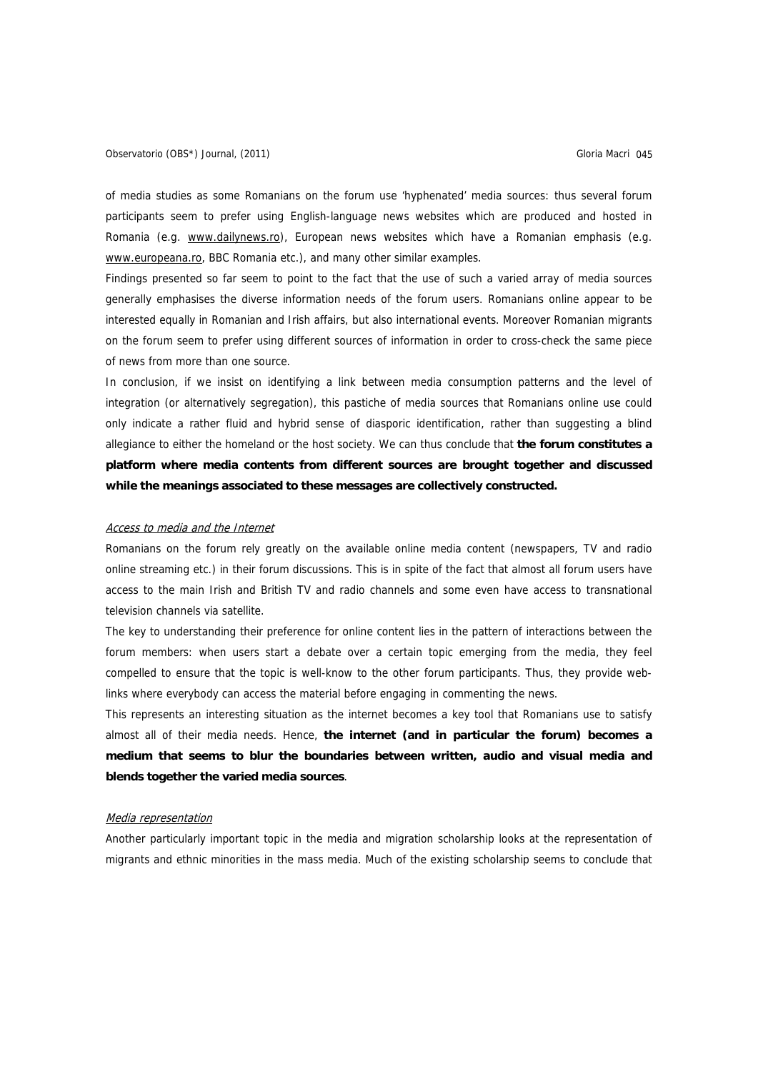of media studies as some Romanians on the forum use 'hyphenated' media sources: thus several forum participants seem to prefer using English-language news websites which are produced and hosted in Romania (e.g. [www.dailynews.ro](http://www.dailynews.ro/)), European news websites which have a Romanian emphasis (e.g. [www.europeana.ro,](http://www.europeana.ro/) BBC Romania etc.), and many other similar examples.

Findings presented so far seem to point to the fact that the use of such a varied array of media sources generally emphasises the diverse information needs of the forum users. Romanians online appear to be interested equally in Romanian and Irish affairs, but also international events. Moreover Romanian migrants on the forum seem to prefer using different sources of information in order to cross-check the same piece of news from more than one source.

In conclusion, if we insist on identifying a link between media consumption patterns and the level of integration (or alternatively segregation), this pastiche of media sources that Romanians online use could only indicate a rather fluid and hybrid sense of diasporic identification, rather than suggesting a blind allegiance to either the homeland or the host society. We can thus conclude that **the forum constitutes a platform where media contents from different sources are brought together and discussed while the meanings associated to these messages are collectively constructed.** 

#### Access to media and the Internet

Romanians on the forum rely greatly on the available online media content (newspapers, TV and radio online streaming etc.) in their forum discussions. This is in spite of the fact that almost all forum users have access to the main Irish and British TV and radio channels and some even have access to transnational television channels via satellite.

The key to understanding their preference for online content lies in the pattern of interactions between the forum members: when users start a debate over a certain topic emerging from the media, they feel compelled to ensure that the topic is well-know to the other forum participants. Thus, they provide weblinks where everybody can access the material before engaging in commenting the news.

This represents an interesting situation as the internet becomes a key tool that Romanians use to satisfy almost all of their media needs. Hence, **the internet (and in particular the forum) becomes a medium that seems to blur the boundaries between written, audio and visual media and blends together the varied media sources**.

#### Media representation

Another particularly important topic in the media and migration scholarship looks at the representation of migrants and ethnic minorities in the mass media. Much of the existing scholarship seems to conclude that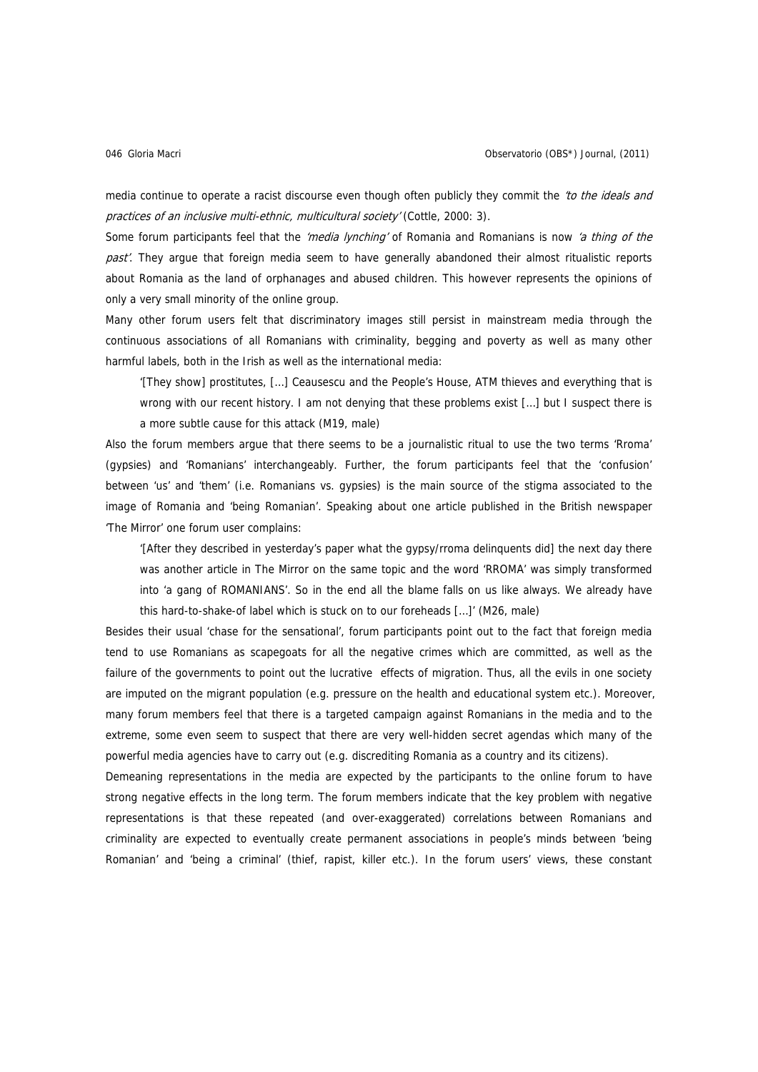media continue to operate a racist discourse even though often publicly they commit the 'to the ideals and practices of an inclusive multi-ethnic, multicultural society' (Cottle, 2000: 3).

Some forum participants feel that the 'media lynching' of Romania and Romanians is now 'a thing of the past'. They argue that foreign media seem to have generally abandoned their almost ritualistic reports about Romania as the land of orphanages and abused children. This however represents the opinions of only a very small minority of the online group.

Many other forum users felt that discriminatory images still persist in mainstream media through the continuous associations of all Romanians with criminality, begging and poverty as well as many other harmful labels, both in the Irish as well as the international media:

'[They show] prostitutes, […] Ceausescu and the People's House, ATM thieves and everything that is wrong with our recent history. I am not denying that these problems exist […] but I suspect there is a more subtle cause for this attack (M19, male)

Also the forum members argue that there seems to be a journalistic ritual to use the two terms 'Rroma' (gypsies) and 'Romanians' interchangeably. Further, the forum participants feel that the 'confusion' between 'us' and 'them' (i.e. Romanians vs. gypsies) is the main source of the stigma associated to the image of Romania and 'being Romanian'. Speaking about one article published in the British newspaper 'The Mirror' one forum user complains:

'[After they described in yesterday's paper what the gypsy/rroma delinquents did] the next day there was another article in The Mirror on the same topic and the word 'RROMA' was simply transformed into 'a gang of ROMANIANS'. So in the end all the blame falls on us like always. We already have this hard-to-shake-of label which is stuck on to our foreheads […]' (M26, male)

Besides their usual 'chase for the sensational', forum participants point out to the fact that foreign media tend to use Romanians as scapegoats for all the negative crimes which are committed, as well as the failure of the governments to point out the lucrative effects of migration. Thus, all the evils in one society are imputed on the migrant population (e.g. pressure on the health and educational system etc.). Moreover, many forum members feel that there is a targeted campaign against Romanians in the media and to the extreme, some even seem to suspect that there are very well-hidden secret agendas which many of the powerful media agencies have to carry out (e.g. discrediting Romania as a country and its citizens).

Demeaning representations in the media are expected by the participants to the online forum to have strong negative effects in the long term. The forum members indicate that the key problem with negative representations is that these repeated (and over-exaggerated) correlations between Romanians and criminality are expected to eventually create permanent associations in people's minds between 'being Romanian' and 'being a criminal' (thief, rapist, killer etc.). In the forum users' views, these constant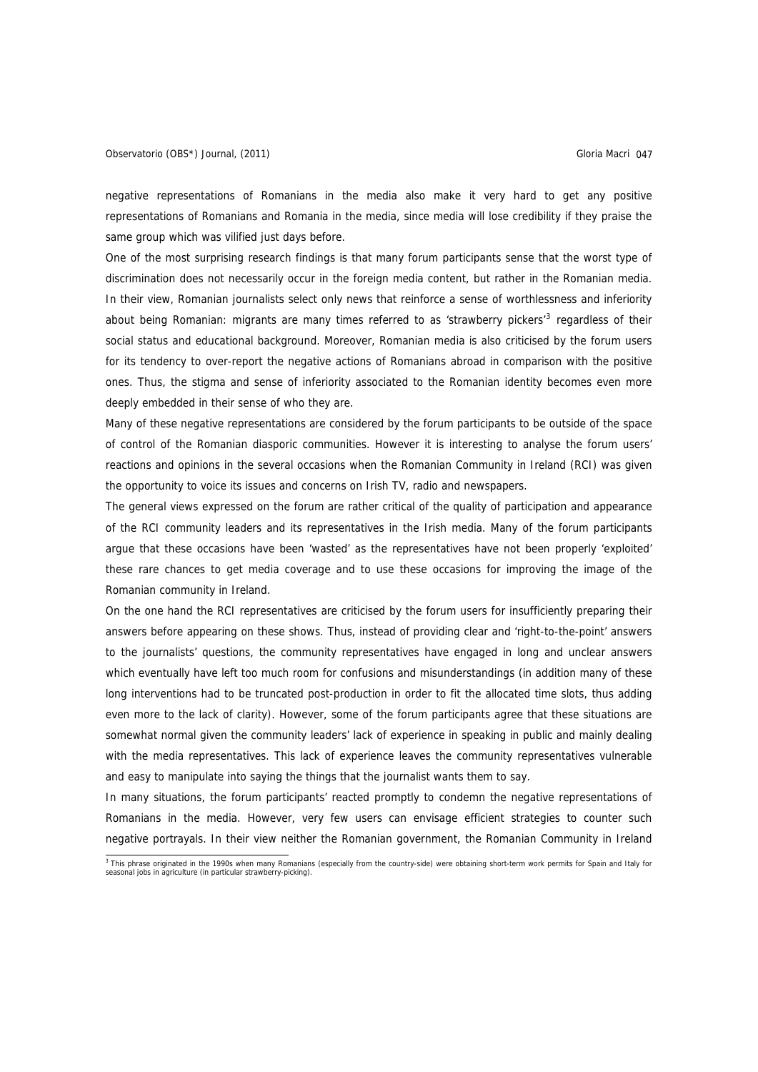negative representations of Romanians in the media also make it very hard to get any positive representations of Romanians and Romania in the media, since media will lose credibility if they praise the same group which was vilified just days before.

One of the most surprising research findings is that many forum participants sense that the worst type of discrimination does not necessarily occur in the foreign media content, but rather in the Romanian media. In their view, Romanian journalists select only news that reinforce a sense of worthlessness and inferiority about being Romanian: migrants are many times referred to as 'strawberry pickers'<sup>[3](#page-6-0)</sup> regardless of their social status and educational background. Moreover, Romanian media is also criticised by the forum users for its tendency to over-report the negative actions of Romanians abroad in comparison with the positive ones. Thus, the stigma and sense of inferiority associated to the Romanian identity becomes even more deeply embedded in their sense of who they are.

Many of these negative representations are considered by the forum participants to be outside of the space of control of the Romanian diasporic communities. However it is interesting to analyse the forum users' reactions and opinions in the several occasions when the Romanian Community in Ireland (RCI) was given the opportunity to voice its issues and concerns on Irish TV, radio and newspapers.

The general views expressed on the forum are rather critical of the quality of participation and appearance of the RCI community leaders and its representatives in the Irish media. Many of the forum participants argue that these occasions have been 'wasted' as the representatives have not been properly 'exploited' these rare chances to get media coverage and to use these occasions for improving the image of the Romanian community in Ireland.

On the one hand the RCI representatives are criticised by the forum users for insufficiently preparing their answers before appearing on these shows. Thus, instead of providing clear and 'right-to-the-point' answers to the journalists' questions, the community representatives have engaged in long and unclear answers which eventually have left too much room for confusions and misunderstandings (in addition many of these long interventions had to be truncated post-production in order to fit the allocated time slots, thus adding even more to the lack of clarity). However, some of the forum participants agree that these situations are somewhat normal given the community leaders' lack of experience in speaking in public and mainly dealing with the media representatives. This lack of experience leaves the community representatives vulnerable and easy to manipulate into saying the things that the journalist wants them to say.

In many situations, the forum participants' reacted promptly to condemn the negative representations of Romanians in the media. However, very few users can envisage efficient strategies to counter such negative portrayals. In their view neither the Romanian government, the Romanian Community in Ireland

<span id="page-6-0"></span> 3 This phrase originated in the 1990s when many Romanians (especially from the country-side) were obtaining short-term work permits for Spain and Italy for seasonal jobs in agriculture (in particular strawberry-picking).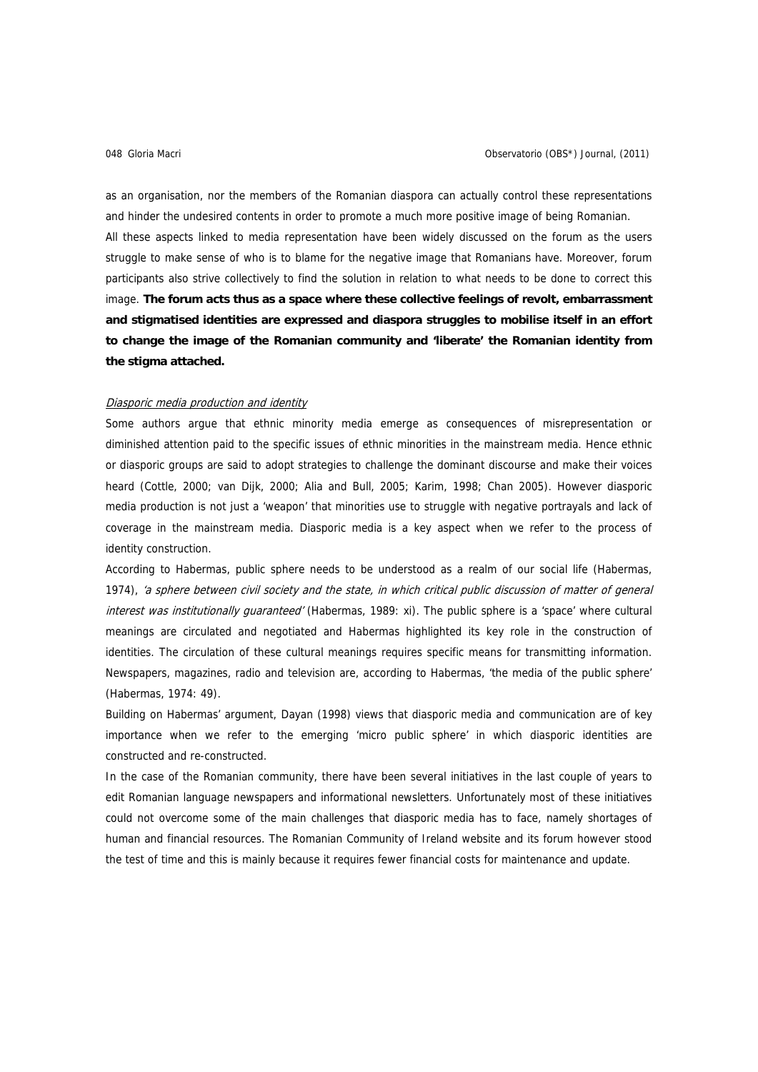as an organisation, nor the members of the Romanian diaspora can actually control these representations and hinder the undesired contents in order to promote a much more positive image of being Romanian. All these aspects linked to media representation have been widely discussed on the forum as the users struggle to make sense of who is to blame for the negative image that Romanians have. Moreover, forum participants also strive collectively to find the solution in relation to what needs to be done to correct this image. **The forum acts thus as a space where these collective feelings of revolt, embarrassment and stigmatised identities are expressed and diaspora struggles to mobilise itself in an effort to change the image of the Romanian community and 'liberate' the Romanian identity from the stigma attached.** 

#### Diasporic media production and identity

Some authors argue that ethnic minority media emerge as consequences of misrepresentation or diminished attention paid to the specific issues of ethnic minorities in the mainstream media. Hence ethnic or diasporic groups are said to adopt strategies to challenge the dominant discourse and make their voices heard (Cottle, 2000; van Dijk, 2000; Alia and Bull, 2005; Karim, 1998; Chan 2005). However diasporic media production is not just a 'weapon' that minorities use to struggle with negative portrayals and lack of coverage in the mainstream media. Diasporic media is a key aspect when we refer to the process of identity construction.

According to Habermas, public sphere needs to be understood as a realm of our social life (Habermas, 1974), 'a sphere between civil society and the state, in which critical public discussion of matter of general interest was institutionally quaranteed' (Habermas, 1989: xi). The public sphere is a 'space' where cultural meanings are circulated and negotiated and Habermas highlighted its key role in the construction of identities. The circulation of these cultural meanings requires specific means for transmitting information. Newspapers, magazines, radio and television are, according to Habermas, 'the media of the public sphere' (Habermas, 1974: 49).

Building on Habermas' argument, Dayan (1998) views that diasporic media and communication are of key importance when we refer to the emerging 'micro public sphere' in which diasporic identities are constructed and re-constructed.

In the case of the Romanian community, there have been several initiatives in the last couple of years to edit Romanian language newspapers and informational newsletters. Unfortunately most of these initiatives could not overcome some of the main challenges that diasporic media has to face, namely shortages of human and financial resources. The Romanian Community of Ireland website and its forum however stood the test of time and this is mainly because it requires fewer financial costs for maintenance and update.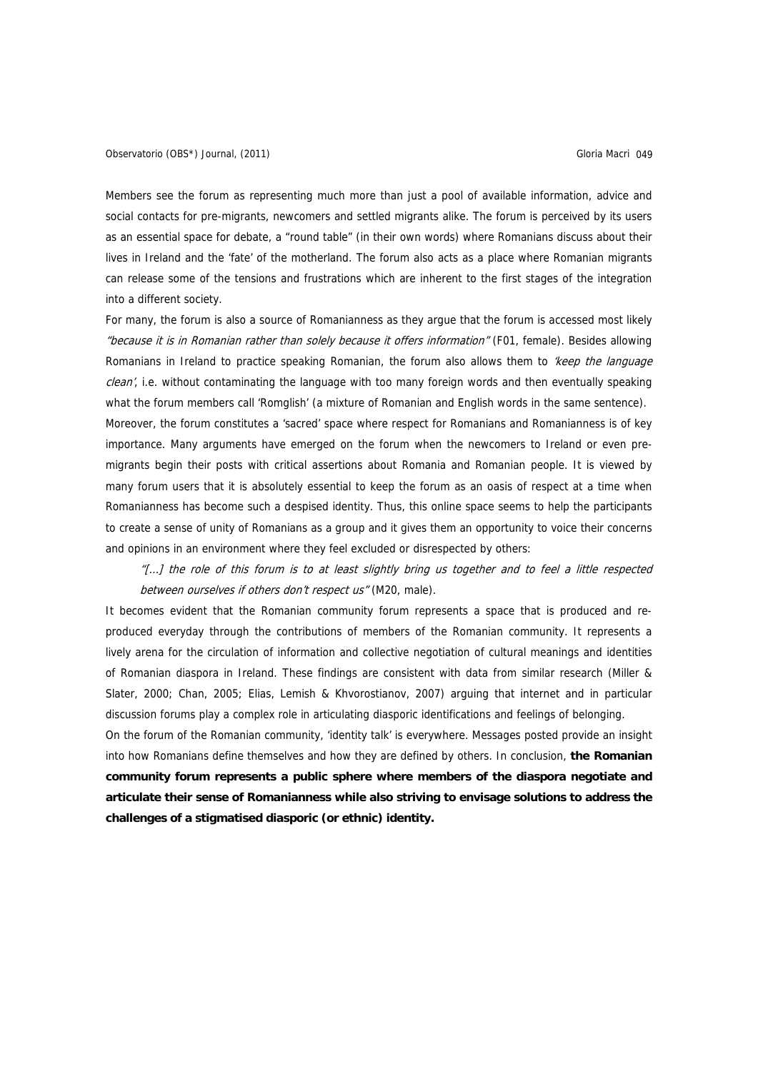Members see the forum as representing much more than just a pool of available information, advice and social contacts for pre-migrants, newcomers and settled migrants alike. The forum is perceived by its users as an essential space for debate, a "round table" (in their own words) where Romanians discuss about their lives in Ireland and the 'fate' of the motherland. The forum also acts as a place where Romanian migrants can release some of the tensions and frustrations which are inherent to the first stages of the integration into a different society.

For many, the forum is also a source of Romanianness as they argue that the forum is accessed most likely "because it is in Romanian rather than solely because it offers information" (F01, female). Besides allowing Romanians in Ireland to practice speaking Romanian, the forum also allows them to *'keep the language* clean', i.e. without contaminating the language with too many foreign words and then eventually speaking what the forum members call 'Romglish' (a mixture of Romanian and English words in the same sentence).

Moreover, the forum constitutes a 'sacred' space where respect for Romanians and Romanianness is of key importance. Many arguments have emerged on the forum when the newcomers to Ireland or even premigrants begin their posts with critical assertions about Romania and Romanian people. It is viewed by many forum users that it is absolutely essential to keep the forum as an oasis of respect at a time when Romanianness has become such a despised identity. Thus, this online space seems to help the participants to create a sense of unity of Romanians as a group and it gives them an opportunity to voice their concerns and opinions in an environment where they feel excluded or disrespected by others:

"[…] the role of this forum is to at least slightly bring us together and to feel a little respected between ourselves if others don't respect us" (M20, male).

It becomes evident that the Romanian community forum represents a space that is produced and reproduced everyday through the contributions of members of the Romanian community. It represents a lively arena for the circulation of information and collective negotiation of cultural meanings and identities of Romanian diaspora in Ireland. These findings are consistent with data from similar research (Miller & Slater, 2000; Chan, 2005; Elias, Lemish & Khvorostianov, 2007) arguing that internet and in particular discussion forums play a complex role in articulating diasporic identifications and feelings of belonging.

On the forum of the Romanian community, 'identity talk' is everywhere. Messages posted provide an insight into how Romanians define themselves and how they are defined by others. In conclusion, **the Romanian community forum represents a public sphere where members of the diaspora negotiate and articulate their sense of Romanianness while also striving to envisage solutions to address the challenges of a stigmatised diasporic (or ethnic) identity.**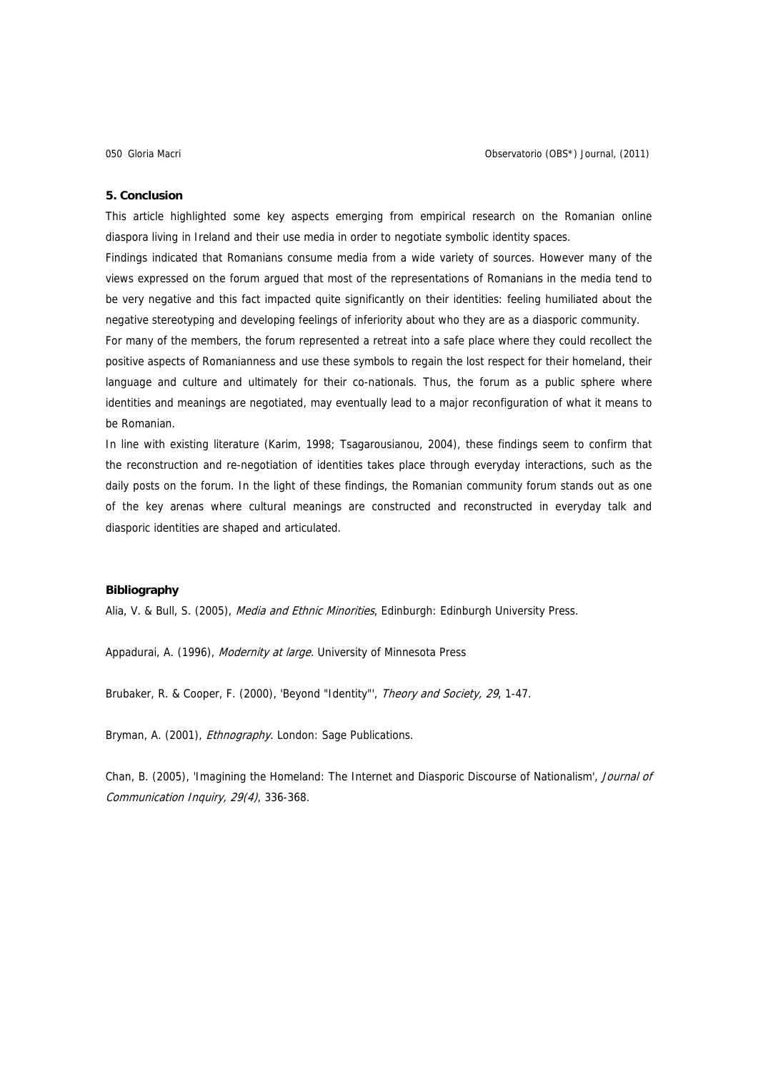#### **5. Conclusion**

This article highlighted some key aspects emerging from empirical research on the Romanian online diaspora living in Ireland and their use media in order to negotiate symbolic identity spaces.

Findings indicated that Romanians consume media from a wide variety of sources. However many of the views expressed on the forum argued that most of the representations of Romanians in the media tend to be very negative and this fact impacted quite significantly on their identities: feeling humiliated about the negative stereotyping and developing feelings of inferiority about who they are as a diasporic community.

For many of the members, the forum represented a retreat into a safe place where they could recollect the positive aspects of Romanianness and use these symbols to regain the lost respect for their homeland, their language and culture and ultimately for their co-nationals. Thus, the forum as a public sphere where identities and meanings are negotiated, may eventually lead to a major reconfiguration of what it means to be Romanian.

In line with existing literature (Karim, 1998; Tsagarousianou, 2004), these findings seem to confirm that the reconstruction and re-negotiation of identities takes place through everyday interactions, such as the daily posts on the forum. In the light of these findings, the Romanian community forum stands out as one of the key arenas where cultural meanings are constructed and reconstructed in everyday talk and diasporic identities are shaped and articulated.

## **Bibliography**

Alia, V. & Bull, S. (2005), Media and Ethnic Minorities, Edinburgh: Edinburgh University Press.

Appadurai, A. (1996), Modernity at large. University of Minnesota Press

Brubaker, R. & Cooper, F. (2000), 'Beyond "Identity"', Theory and Society, 29, 1-47.

Bryman, A. (2001), *Ethnography*. London: Sage Publications.

Chan, B. (2005), 'Imagining the Homeland: The Internet and Diasporic Discourse of Nationalism', Journal of Communication Inquiry, 29(4), 336-368.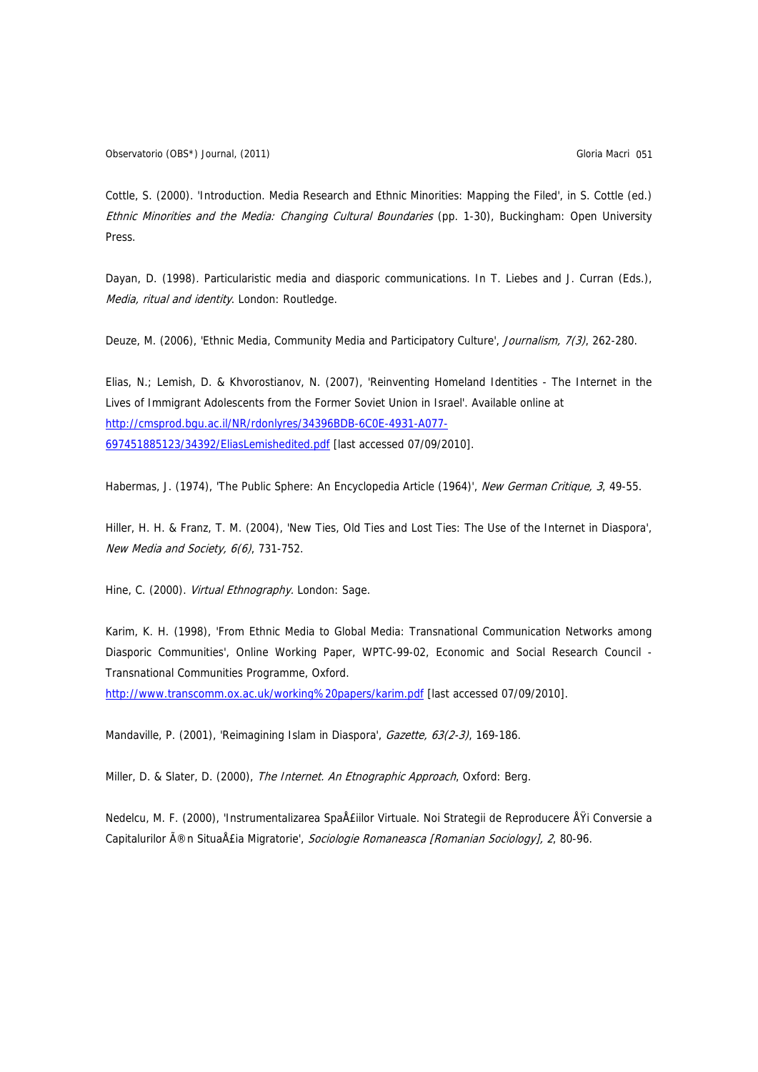Cottle, S. (2000). 'Introduction. Media Research and Ethnic Minorities: Mapping the Filed', in S. Cottle (ed.) Ethnic Minorities and the Media: Changing Cultural Boundaries (pp. 1-30), Buckingham: Open University Press.

Dayan, D. (1998). Particularistic media and diasporic communications. In T. Liebes and J. Curran (Eds.), Media, ritual and identity. London: Routledge.

Deuze, M. (2006), 'Ethnic Media, Community Media and Participatory Culture', Journalism, 7(3), 262-280.

Elias, N.; Lemish, D. & Khvorostianov, N. (2007), 'Reinventing Homeland Identities - The Internet in the Lives of Immigrant Adolescents from the Former Soviet Union in Israel'. Available online at [http://cmsprod.bgu.ac.il/NR/rdonlyres/34396BDB-6C0E-4931-A077-](http://cmsprod.bgu.ac.il/NR/rdonlyres/34396BDB-6C0E-4931-A077-697451885123/34392/EliasLemishedited.pdf) [697451885123/34392/EliasLemishedited.pdf](http://cmsprod.bgu.ac.il/NR/rdonlyres/34396BDB-6C0E-4931-A077-697451885123/34392/EliasLemishedited.pdf) [last accessed 07/09/2010].

Habermas, J. (1974), 'The Public Sphere: An Encyclopedia Article (1964)', New German Critique, 3, 49-55.

Hiller, H. H. & Franz, T. M. (2004), 'New Ties, Old Ties and Lost Ties: The Use of the Internet in Diaspora', New Media and Society, 6(6), 731-752.

Hine, C. (2000). Virtual Ethnography. London: Sage.

Karim, K. H. (1998), 'From Ethnic Media to Global Media: Transnational Communication Networks among Diasporic Communities', Online Working Paper, WPTC-99-02, Economic and Social Research Council - Transnational Communities Programme, Oxford.

<http://www.transcomm.ox.ac.uk/working%20papers/karim.pdf> [last accessed 07/09/2010].

Mandaville, P. (2001), 'Reimagining Islam in Diaspora', Gazette, 63(2-3), 169-186.

Miller, D. & Slater, D. (2000), The Internet. An Etnographic Approach, Oxford: Berg.

Nedelcu, M. F. (2000), 'Instrumentalizarea Spa£iilor Virtuale. Noi Strategii de Reproducere Ÿi Conversie a Capitalurilor în SituaÅ£ia Migratorie', Sociologie Romaneasca [Romanian Sociology], 2, 80-96.